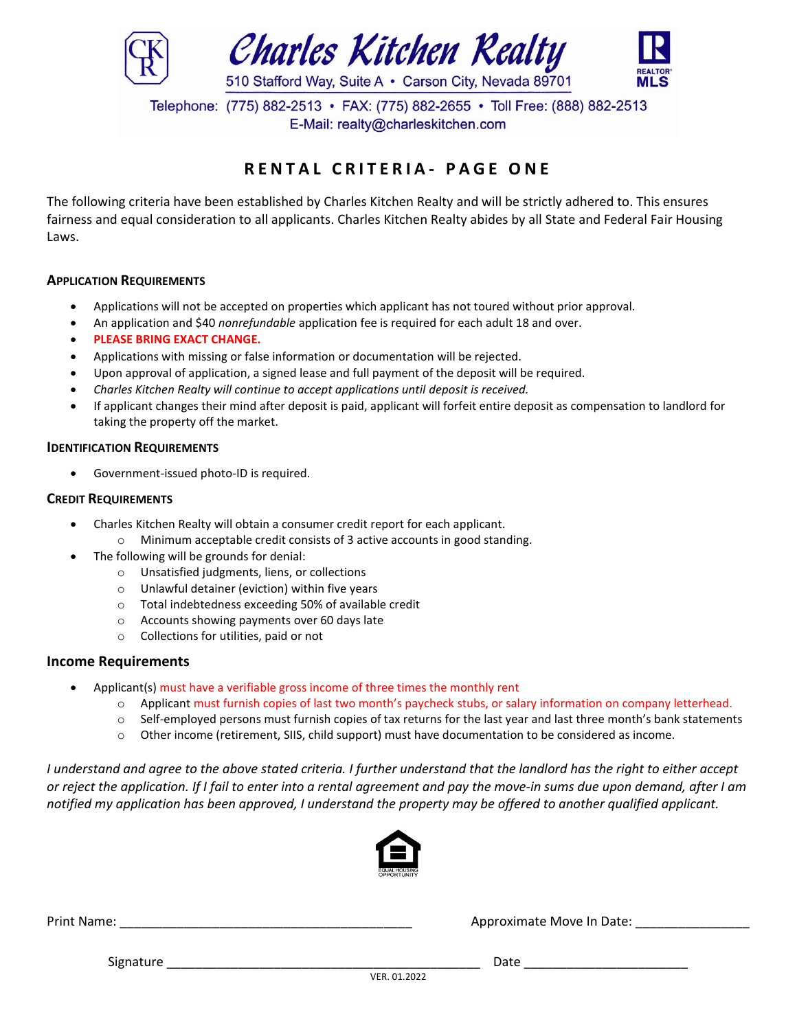

Telephone: (775) 882-2513 • FAX: (775) 882-2655 • Toll Free: (888) 882-2513 E-Mail: realty@charleskitchen.com

# **R E N T A L C R I T E R I A - P A G E O N E**

The following criteria have been established by Charles Kitchen Realty and will be strictly adhered to. This ensures fairness and equal consideration to all applicants. Charles Kitchen Realty abides by all State and Federal Fair Housing Laws.

#### **APPLICATION REQUIREMENTS**

- Applications will not be accepted on properties which applicant has not toured without prior approval.
- An application and \$40 *nonrefundable* application fee is required for each adult 18 and over.
- **PLEASE BRING EXACT CHANGE.**
- Applications with missing or false information or documentation will be rejected.
- Upon approval of application, a signed lease and full payment of the deposit will be required.
- *Charles Kitchen Realty will continue to accept applications until deposit is received.*
- If applicant changes their mind after deposit is paid, applicant will forfeit entire deposit as compensation to landlord for taking the property off the market.

#### **IDENTIFICATION REQUIREMENTS**

Government-issued photo-ID is required.

#### **CREDIT REQUIREMENTS**

- Charles Kitchen Realty will obtain a consumer credit report for each applicant.
	- o Minimum acceptable credit consists of 3 active accounts in good standing.
- The following will be grounds for denial:
	- o Unsatisfied judgments, liens, or collections
	- o Unlawful detainer (eviction) within five years
	- o Total indebtedness exceeding 50% of available credit
	- o Accounts showing payments over 60 days late
	- o Collections for utilities, paid or not

### **Income Requirements**

- Applicant(s) must have a verifiable gross income of three times the monthly rent
	- o Applicant must furnish copies of last two month's paycheck stubs, or salary information on company letterhead.
	- $\circ$  Self-employed persons must furnish copies of tax returns for the last year and last three month's bank statements
	- o Other income (retirement, SIIS, child support) must have documentation to be considered as income.

*I understand and agree to the above stated criteria. I further understand that the landlord has the right to either accept or reject the application. If I fail to enter into a rental agreement and pay the move‐in sums due upon demand, after I am notified my application has been approved, I understand the property may be offered to another qualified applicant.*



Print Name: \_\_\_\_\_\_\_\_\_\_\_\_\_\_\_\_\_\_\_\_\_\_\_\_\_\_\_\_\_\_\_\_\_\_\_\_\_\_\_\_\_ Approximate Move In Date: \_\_\_\_\_\_\_\_\_\_\_\_\_\_\_\_

Signature \_\_\_\_\_\_\_\_\_\_\_\_\_\_\_\_\_\_\_\_\_\_\_\_\_\_\_\_\_\_\_\_\_\_\_\_\_\_\_\_\_\_\_\_ Date \_\_\_\_\_\_\_\_\_\_\_\_\_\_\_\_\_\_\_\_\_\_\_